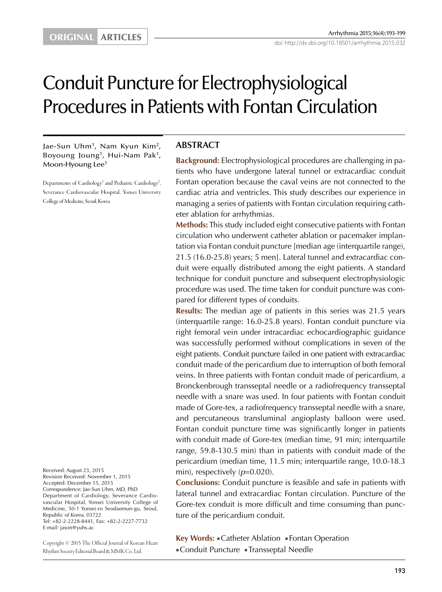# Conduit Puncture for Electrophysiological Procedures in Patients with Fontan Circulation

Jae-Sun Uhm<sup>1</sup>, Nam Kyun Kim<sup>2</sup>, Boyoung Joung<sup>1</sup>, Hui-Nam Pak<sup>1</sup>, Moon-Hyoung Lee<sup>1</sup>

Departments of Cardiology<sup>1</sup> and Pediatric Cardiology<sup>2</sup>, Severance Cardiovascular Hospital, Yonsei University College of Medicine, Seoul, Korea

Received: August 23, 2015 Revision Received: November 1, 2015 Accepted: December 15, 2015 Correspondence: Jae-Sun Uhm, MD, PhD Department of Cardiology, Severance Cardiovascular Hospital, Yonsei University College of Medicine, 50-1 Yonsei-ro Seodaemun-gu, Seoul, Republic of Korea, 03722 Tel: +82-2-2228-8441, Fax: +82-2-2227-7732 E-mail: jason@yuhs.ac

Copyright © 2015 The Official Journal of Korean Heart Rhythm Society Editorial Board & MMK Co., Ltd.

# **ABSTRACT**

**Background:** Electrophysiological procedures are challenging in patients who have undergone lateral tunnel or extracardiac conduit Fontan operation because the caval veins are not connected to the cardiac atria and ventricles. This study describes our experience in managing a series of patients with Fontan circulation requiring catheter ablation for arrhythmias.

**Methods:** This study included eight consecutive patients with Fontan circulation who underwent catheter ablation or pacemaker implantation via Fontan conduit puncture [median age (interquartile range), 21.5 (16.0-25.8) years; 5 men]. Lateral tunnel and extracardiac conduit were equally distributed among the eight patients. A standard technique for conduit puncture and subsequent electrophysiologic procedure was used. The time taken for conduit puncture was compared for different types of conduits.

**Results:** The median age of patients in this series was 21.5 years (interquartile range: 16.0-25.8 years). Fontan conduit puncture via right femoral vein under intracardiac echocardiographic guidance was successfully performed without complications in seven of the eight patients. Conduit puncture failed in one patient with extracardiac conduit made of the pericardium due to interruption of both femoral veins. In three patients with Fontan conduit made of pericardium, a Bronckenbrough transseptal needle or a radiofrequency transseptal needle with a snare was used. In four patients with Fontan conduit made of Gore-tex, a radiofrequency transseptal needle with a snare, and percutaneous transluminal angioplasty balloon were used. Fontan conduit puncture time was significantly longer in patients with conduit made of Gore-tex (median time, 91 min; interquartile range, 59.8-130.5 min) than in patients with conduit made of the pericardium (median time, 11.5 min; interquartile range, 10.0-18.3 min), respectively  $(p=0.020)$ .

**Conclusions:** Conduit puncture is feasible and safe in patients with lateral tunnel and extracardiac Fontan circulation. Puncture of the Gore-tex conduit is more difficult and time consuming than puncture of the pericardium conduit.

**Key Words:** ■Catheter Ablation ■Fontan Operation ■Conduit Puncture ■Transseptal Needle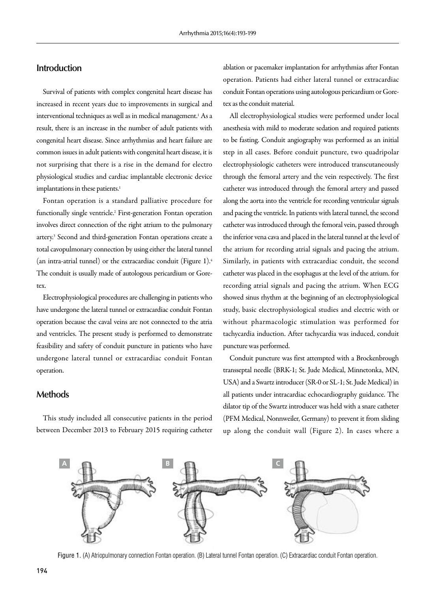# **Introduction**

Survival of patients with complex congenital heart disease has increased in recent years due to improvements in surgical and interventional techniques as well as in medical management.1 As a result, there is an increase in the number of adult patients with congenital heart disease. Since arrhythmias and heart failure are common issues in adult patients with congenital heart disease, it is not surprising that there is a rise in the demand for electro physiological studies and cardiac implantable electronic device implantations in these patients.<sup>1</sup>

Fontan operation is a standard palliative procedure for functionally single ventricle.2 First-generation Fontan operation involves direct connection of the right atrium to the pulmonary artery.3 Second and third-generation Fontan operations create a total cavopulmonary connection by using either the lateral tunnel (an intra-atrial tunnel) or the extracardiac conduit (Figure 1).4 The conduit is usually made of autologous pericardium or Goretex.

Electrophysiological procedures are challenging in patients who have undergone the lateral tunnel or extracardiac conduit Fontan operation because the caval veins are not connected to the atria and ventricles. The present study is performed to demonstrate feasibility and safety of conduit puncture in patients who have undergone lateral tunnel or extracardiac conduit Fontan operation.

#### **Methods**

This study included all consecutive patients in the period between December 2013 to February 2015 requiring catheter

ablation or pacemaker implantation for arrhythmias after Fontan operation. Patients had either lateral tunnel or extracardiac conduit Fontan operations using autologous pericardium or Goretex as the conduit material.

All electrophysiological studies were performed under local anesthesia with mild to moderate sedation and required patients to be fasting. Conduit angiography was performed as an initial step in all cases. Before conduit puncture, two quadripolar electrophysiologic catheters were introduced transcutaneously through the femoral artery and the vein respectively. The first catheter was introduced through the femoral artery and passed along the aorta into the ventricle for recording ventricular signals and pacing the ventricle. In patients with lateral tunnel, the second catheter was introduced through the femoral vein, passed through the inferior vena cava and placed in the lateral tunnel at the level of the atrium for recording atrial signals and pacing the atrium. Similarly, in patients with extracardiac conduit, the second catheter was placed in the esophagus at the level of the atrium. for recording atrial signals and pacing the atrium. When ECG showed sinus rhythm at the beginning of an electrophysiological study, basic electrophysiological studies and electric with or without pharmacologic stimulation was performed for tachycardia induction. After tachycardia was induced, conduit puncture was performed.

Conduit puncture was first attempted with a Brockenbrough transseptal needle (BRK-1; St. Jude Medical, Minnetonka, MN, USA) and a Swartz introducer (SR-0 or SL-1; St. Jude Medical) in all patients under intracardiac echocardiography guidance. The dilator tip of the Swartz introducer was held with a snare catheter (PFM Medical, Nonnweiler, Germany) to prevent it from sliding up along the conduit wall (Figure 2). In cases where a



Figure 1. (A) Atriopulmonary connection Fontan operation. (B) Lateral tunnel Fontan operation. (C) Extracardiac conduit Fontan operation.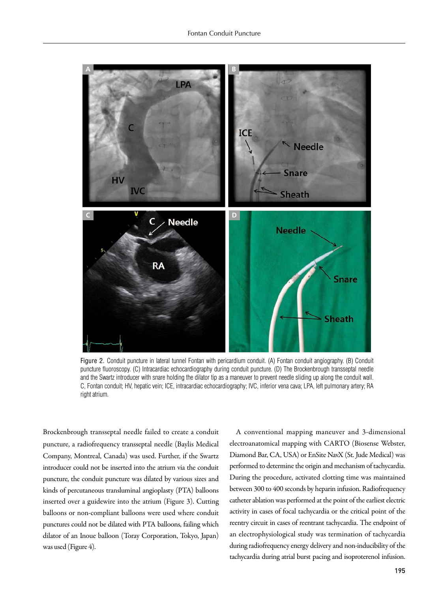

Figure 2. Conduit puncture in lateral tunnel Fontan with pericardium conduit. (A) Fontan conduit angiography. (B) Conduit puncture fluoroscopy. (C) Intracardiac echocardiography during conduit puncture. (D) The Brockenbrough transseptal needle and the Swartz introducer with snare holding the dilator tip as a maneuver to prevent needle sliding up along the conduit wall. C, Fontan conduit; HV, hepatic vein; ICE, intracardiac echocardiography; IVC, inferior vena cava; LPA, left pulmonary artery; RA right atrium.

Brockenbrough transseptal needle failed to create a conduit puncture, a radiofrequency transseptal needle (Baylis Medical Company, Montreal, Canada) was used. Further, if the Swartz introducer could not be inserted into the atrium via the conduit puncture, the conduit puncture was dilated by various sizes and kinds of percutaneous transluminal angioplasty (PTA) balloons inserted over a guidewire into the atrium (Figure 3). Cutting balloons or non-compliant balloons were used where conduit punctures could not be dilated with PTA balloons, failing which dilator of an Inoue balloon (Toray Corporation, Tokyo, Japan) was used (Figure 4).

A conventional mapping maneuver and 3-dimensional electroanatomical mapping with CARTO (Biosense Webster, Diamond Bar, CA, USA) or EnSite NavX (St. Jude Medical) was performed to determine the origin and mechanism of tachycardia. During the procedure, activated clotting time was maintained between 300 to 400 seconds by heparin infusion. Radiofrequency catheter ablation was performed at the point of the earliest electric activity in cases of focal tachycardia or the critical point of the reentry circuit in cases of reentrant tachycardia. The endpoint of an electrophysiological study was termination of tachycardia during radiofrequency energy delivery and non-inducibility of the tachycardia during atrial burst pacing and isoproterenol infusion.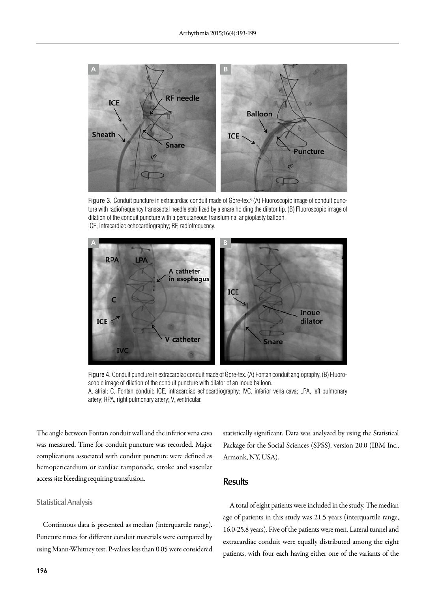

Figure 3. Conduit puncture in extracardiac conduit made of Gore-tex.<sup>5</sup> (A) Fluoroscopic image of conduit puncture with radiofrequency transseptal needle stabilized by a snare holding the dilator tip. (B) Fluoroscopic image of dilation of the conduit puncture with a percutaneous transluminal angioplasty balloon. ICE, intracardiac echocardiography; RF, radiofrequency.



Figure 4. Conduit puncture in extracardiac conduit made of Gore-tex. (A) Fontan conduit angiography. (B) Fluoroscopic image of dilation of the conduit puncture with dilator of an Inoue balloon. A, atrial; C, Fontan conduit; ICE, intracardiac echocardiography; IVC, inferior vena cava; LPA, left pulmonary artery; RPA, right pulmonary artery; V, ventricular.

The angle between Fontan conduit wall and the inferior vena cava was measured. Time for conduit puncture was recorded. Major complications associated with conduit puncture were defined as hemopericardium or cardiac tamponade, stroke and vascular access site bleeding requiring transfusion.

#### **Statistical Analysis**

Continuous data is presented as median (interquartile range). Puncture times for different conduit materials were compared by using Mann-Whitney test. P-values less than 0.05 were considered statistically significant. Data was analyzed by using the Statistical Package for the Social Sciences (SPSS), version 20.0 (IBM Inc., Armonk, NY, USA).

#### **Results**

A total of eight patients were included in the study. The median age of patients in this study was 21.5 years (interquartile range, 16.0-25.8 years). Five of the patients were men. Lateral tunnel and extracardiac conduit were equally distributed among the eight patients, with four each having either one of the variants of the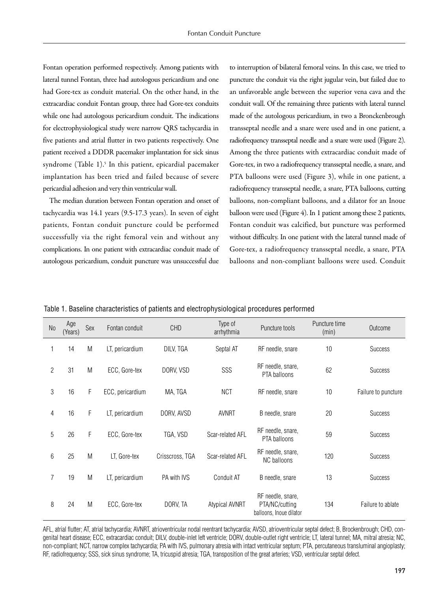Fontan operation performed respectively. Among patients with lateral tunnel Fontan, three had autologous pericardium and one had Gore-tex as conduit material. On the other hand, in the extracardiac conduit Fontan group, three had Gore-tex conduits while one had autologous pericardium conduit. The indications for electrophysiological study were narrow QRS tachycardia in five patients and atrial flutter in two patients respectively. One patient received a DDDR pacemaker implantation for sick sinus syndrome (Table 1).<sup>5</sup> In this patient, epicardial pacemaker implantation has been tried and failed because of severe pericardial adhesion and very thin ventricular wall.

The median duration between Fontan operation and onset of tachycardia was 14.1 years (9.5-17.3 years). In seven of eight patients, Fontan conduit puncture could be performed successfully via the right femoral vein and without any complications. In one patient with extracardiac conduit made of autologous pericardium, conduit puncture was unsuccessful due to interruption of bilateral femoral veins. In this case, we tried to puncture the conduit via the right jugular vein, but failed due to an unfavorable angle between the superior vena cava and the conduit wall. Of the remaining three patients with lateral tunnel made of the autologous pericardium, in two a Bronckenbrough transseptal needle and a snare were used and in one patient, a radiofrequency transseptal needle and a snare were used (Figure 2). Among the three patients with extracardiac conduit made of Gore-tex, in two a radiofrequency transseptal needle, a snare, and PTA balloons were used (Figure 3), while in one patient, a radiofrequency transseptal needle, a snare, PTA balloons, cutting balloons, non-compliant balloons, and a dilator for an Inoue balloon were used (Figure 4). In 1 patient among these 2 patients, Fontan conduit was calcified, but puncture was performed without difficulty. In one patient with the lateral tunnel made of Gore-tex, a radiofrequency transseptal needle, a snare, PTA balloons and non-compliant balloons were used. Conduit

|  | Table 1. Baseline characteristics of patients and electrophysiological procedures performed |  |  |  |
|--|---------------------------------------------------------------------------------------------|--|--|--|
|  |                                                                                             |  |  |  |

| N <sub>0</sub>  | Age<br>(Years) | Sex | Fontan conduit   | <b>CHD</b>      | Type of<br>arrhythmia | Puncture tools                                                 | Puncture time<br>(min) | Outcome             |
|-----------------|----------------|-----|------------------|-----------------|-----------------------|----------------------------------------------------------------|------------------------|---------------------|
| $\mathbf{1}$    | 14             | M   | LT, pericardium  | DILV, TGA       | Septal AT             | RF needle, snare                                               | 10                     | Success             |
| 2               | 31             | M   | ECC, Gore-tex    | DORV, VSD       | SSS                   | RF needle, snare,<br>PTA balloons                              | 62                     | Success             |
| 3               | 16             | F   | ECC, pericardium | MA, TGA         | <b>NCT</b>            | RF needle, snare                                               | 10                     | Failure to puncture |
| 4               | 16             | F   | LT, pericardium  | DORV, AVSD      | <b>AVNRT</b>          | B needle, snare                                                | 20                     | Success             |
| 5               | 26             | F   | ECC, Gore-tex    | TGA, VSD        | Scar-related AFL      | RF needle, snare,<br>PTA balloons                              | 59                     | Success             |
| $6\phantom{.}6$ | 25             | M   | LT, Gore-tex     | Crisscross, TGA | Scar-related AFL      | RF needle, snare,<br>NC balloons                               | 120                    | <b>Success</b>      |
| $\overline{7}$  | 19             | M   | LT, pericardium  | PA with IVS     | Conduit AT            | B needle, snare                                                | 13                     | <b>Success</b>      |
| 8               | 24             | M   | ECC, Gore-tex    | DORV, TA        | Atypical AVNRT        | RF needle, snare,<br>PTA/NC/cutting<br>balloons, Inoue dilator | 134                    | Failure to ablate   |

AFL, atrial flutter; AT, atrial tachycardia; AVNRT, atrioventricular nodal reentrant tachycardia; AVSD, atrioventricular septal defect; B, Brockenbrough; CHD, congenital heart disease; ECC, extracardiac conduit; DILV, double-inlet left ventricle; DORV, double-outlet right ventricle; LT, lateral tunnel; MA, mitral atresia; NC, non-compliant; NCT, narrow complex tachycardia; PA with IVS, pulmonary atresia with intact ventricular septum; PTA, percutaneous transluminal angioplasty; RF, radiofrequency; SSS, sick sinus syndrome; TA, tricuspid atresia; TGA, transposition of the great arteries; VSD, ventricular septal defect.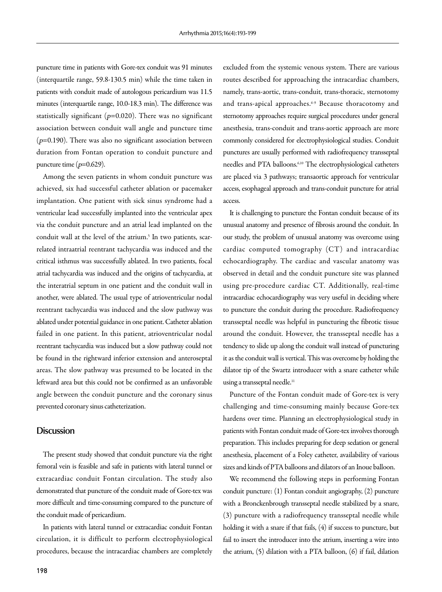puncture time in patients with Gore-tex conduit was 91 minutes (interquartile range, 59.8-130.5 min) while the time taken in patients with conduit made of autologous pericardium was 11.5 minutes (interquartile range, 10.0-18.3 min). The difference was statistically significant ( $p=0.020$ ). There was no significant association between conduit wall angle and puncture time  $(p=0.190)$ . There was also no significant association between duration from Fontan operation to conduit puncture and puncture time  $(p=0.629)$ .

Among the seven patients in whom conduit puncture was achieved, six had successful catheter ablation or pacemaker implantation. One patient with sick sinus syndrome had a ventricular lead successfully implanted into the ventricular apex via the conduit puncture and an atrial lead implanted on the conduit wall at the level of the atrium.5 In two patients, scarrelated intraatrial reentrant tachycardia was induced and the critical isthmus was successfully ablated. In two patients, focal atrial tachycardia was induced and the origins of tachycardia, at the interatrial septum in one patient and the conduit wall in another, were ablated. The usual type of atrioventricular nodal reentrant tachycardia was induced and the slow pathway was ablated under potential guidance in one patient. Catheter ablation failed in one patient. In this patient, atrioventricular nodal reentrant tachycardia was induced but a slow pathway could not be found in the rightward inferior extension and anteroseptal areas. The slow pathway was presumed to be located in the leftward area but this could not be confirmed as an unfavorable angle between the conduit puncture and the coronary sinus prevented coronary sinus catheterization.

#### **Discussion**

The present study showed that conduit puncture via the right femoral vein is feasible and safe in patients with lateral tunnel or extracardiac conduit Fontan circulation. The study also demonstrated that puncture of the conduit made of Gore-tex was more difficult and time-consuming compared to the puncture of the conduit made of pericardium.

In patients with lateral tunnel or extracardiac conduit Fontan circulation, it is difficult to perform electrophysiological procedures, because the intracardiac chambers are completely excluded from the systemic venous system. There are various routes described for approaching the intracardiac chambers, namely, trans-aortic, trans-conduit, trans-thoracic, sternotomy and trans-apical approaches.<sup>6-9</sup> Because thoracotomy and sternotomy approaches require surgical procedures under general anesthesia, trans-conduit and trans-aortic approach are more commonly considered for electrophysiological studies. Conduit punctures are usually performed with radiofrequency transseptal needles and PTA balloons.6,10 The electrophysiological catheters are placed via 3 pathways; transaortic approach for ventricular access, esophageal approach and trans-conduit puncture for atrial access.

It is challenging to puncture the Fontan conduit because of its unusual anatomy and presence of fibrosis around the conduit. In our study, the problem of unusual anatomy was overcome using cardiac computed tomography (CT) and intracardiac echocardiography. The cardiac and vascular anatomy was observed in detail and the conduit puncture site was planned using pre-procedure cardiac CT. Additionally, real-time intracardiac echocardiography was very useful in deciding where to puncture the conduit during the procedure. Radiofrequency transseptal needle was helpful in puncturing the fibrotic tissue around the conduit. However, the transseptal needle has a tendency to slide up along the conduit wall instead of puncturing it as the conduit wall is vertical. This was overcome by holding the dilator tip of the Swartz introducer with a snare catheter while using a transseptal needle.<sup>11</sup>

Puncture of the Fontan conduit made of Gore-tex is very challenging and time-consuming mainly because Gore-tex hardens over time. Planning an electrophysiological study in patients with Fontan conduit made of Gore-tex involves thorough preparation. This includes preparing for deep sedation or general anesthesia, placement of a Foley catheter, availability of various sizes and kinds of PTA balloons and dilators of an Inoue balloon.

We recommend the following steps in performing Fontan conduit puncture: (1) Fontan conduit angiography, (2) puncture with a Bronckenbrough transseptal needle stabilized by a snare, (3) puncture with a radiofrequency transseptal needle while holding it with a snare if that fails, (4) if success to puncture, but fail to insert the introducer into the atrium, inserting a wire into the atrium, (5) dilation with a PTA balloon, (6) if fail, dilation